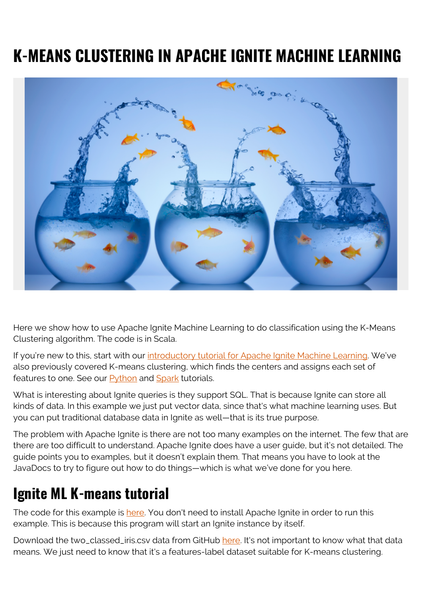# **K-MEANS CLUSTERING IN APACHE IGNITE MACHINE LEARNING**



Here we show how to use Apache Ignite Machine Learning to do classification using the K-Means Clustering algorithm. The code is in Scala.

If you're new to this, start with our [introductory tutorial for Apache Ignite Machine Learning.](https://blogs.bmc.com/blogs/apache-ignite-machine-learning/) We've also previously covered K-means clustering, which finds the centers and assigns each set of features to one. See our [Python](https://blogs.bmc.com/blogs/python-spark-k-means-example/) and [Spark](https://blogs.bmc.com/blogs/k-means-clustering-apache-spark/) tutorials.

What is interesting about Ignite queries is they support SQL. That is because Ignite can store all kinds of data. In this example we just put vector data, since that's what machine learning uses. But you can put traditional database data in Ignite as well—that is its true purpose.

The problem with Apache Ignite is there are not too many examples on the internet. The few that are there are too difficult to understand. Apache Ignite does have a user guide, but it's not detailed. The guide points you to examples, but it doesn't explain them. That means you have to look at the JavaDocs to try to figure out how to do things—which is what we've done for you here.

## **Ignite ML K-means tutorial**

The code for this example is [here.](https://github.com/werowe/InsightML/blob/master/Kmeans.scala) You don't need to install Apache Ignite in order to run this example. This is because this program will start an Ignite instance by itself.

Download the two\_classed\_iris.csv data from GitHub [here](https://github.com/apache/ignite/blob/master/examples/src/main/resources/datasets/iris.txt). It's not important to know what that data means. We just need to know that it's a features-label dataset suitable for K-means clustering.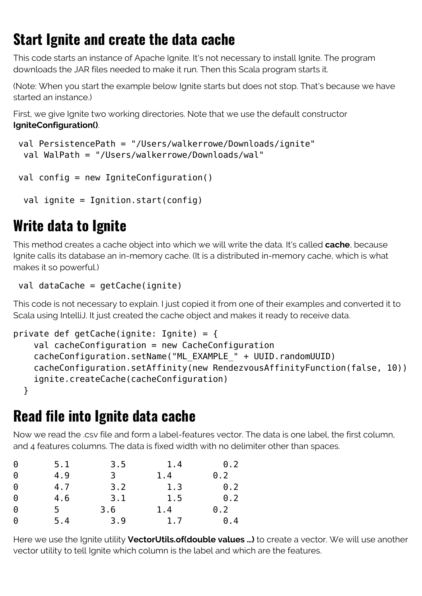## **Start Ignite and create the data cache**

This code starts an instance of Apache Ignite. It's not necessary to install Ignite. The program downloads the JAR files needed to make it run. Then this Scala program starts it.

(Note: When you start the example below Ignite starts but does not stop. That's because we have started an instance.)

First, we give Ignite two working directories. Note that we use the default constructor **IgniteConfiguration()**.

```
 val PersistencePath = "/Users/walkerrowe/Downloads/ignite"
 val WalPath = "/Users/walkerrowe/Downloads/wal"
```

```
 val config = new IgniteConfiguration()
```

```
val ignite = Ignition.start(config)
```
## **Write data to Ignite**

This method creates a cache object into which we will write the data. It's called **cache**, because Ignite calls its database an in-memory cache. (It is a distributed in-memory cache, which is what makes it so powerful.)

```
 val dataCache = getCache(ignite)
```
This code is not necessary to explain. I just copied it from one of their examples and converted it to Scala using IntelliJ. It just created the cache object and makes it ready to receive data.

```
private def getCache(ignite: Ignite) = {
     val cacheConfiguration = new CacheConfiguration
     cacheConfiguration.setName("ML_EXAMPLE_" + UUID.randomUUID)
     cacheConfiguration.setAffinity(new RendezvousAffinityFunction(false, 10))
     ignite.createCache(cacheConfiguration)
   }
```
## **Read file into Ignite data cache**

Now we read the .csv file and form a label-features vector. The data is one label, the first column, and 4 features columns. The data is fixed width with no delimiter other than spaces.

| 0 | 5.1 | 3.5 | 1.4 | $\theta$ .2 |
|---|-----|-----|-----|-------------|
| 0 | 4.9 | 3   | 1.4 | 0.2         |
| 0 | 4.7 | 3.2 | 1.3 | 0.2         |
| 0 | 4.6 | 3.1 | 1.5 | 0.2         |
| 0 | 5.  | 3.6 | 1.4 | 0.2         |
| 0 | 5.4 | 3.9 | 1.7 | $\theta$ .4 |

Here we use the Ignite utility **VectorUtils.of(double values …)** to create a vector. We will use another vector utility to tell Ignite which column is the label and which are the features.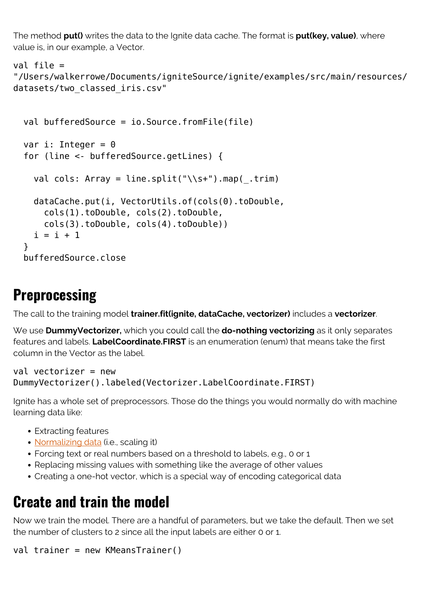The method **put()** writes the data to the Ignite data cache. The format is **put(key, value)**, where value is, in our example, a Vector.

```
val file =
"/Users/walkerrowe/Documents/igniteSource/ignite/examples/src/main/resources/
datasets/two_classed_iris.csv"
```

```
 val bufferedSource = io.Source.fromFile(file)
var i: Integer = 0 for (line <- bufferedSource.getLines) {
  val cols: Array = line.split("\\s+").map( .trim)
   dataCache.put(i, VectorUtils.of(cols(0).toDouble,
     cols(1).toDouble, cols(2).toDouble,
     cols(3).toDouble, cols(4).toDouble))
  i = i + 1 }
 bufferedSource.close
```
#### **Preprocessing**

The call to the training model **trainer.fit(ignite, dataCache, vectorizer)** includes a **vectorizer**.

We use **DummyVectorizer,** which you could call the **do-nothing vectorizing** as it only separates features and labels. **LabelCoordinate.FIRST** is an enumeration (enum) that means take the first column in the Vector as the label.

```
val vectorizer = new
DummyVectorizer().labeled(Vectorizer.LabelCoordinate.FIRST)
```
Ignite has a whole set of preprocessors. Those do the things you would normally do with machine learning data like:

- Extracting features
- [Normalizing data](https://blogs.bmc.com/blogs/data-normalization/) (i.e., scaling it)
- Forcing text or real numbers based on a threshold to labels, e.g., 0 or 1
- Replacing missing values with something like the average of other values
- Creating a one-hot vector, which is a special way of encoding categorical data

## **Create and train the model**

Now we train the model. There are a handful of parameters, but we take the default. Then we set the number of clusters to 2 since all the input labels are either 0 or 1.

```
val trainer = new KMeansTrainer()
```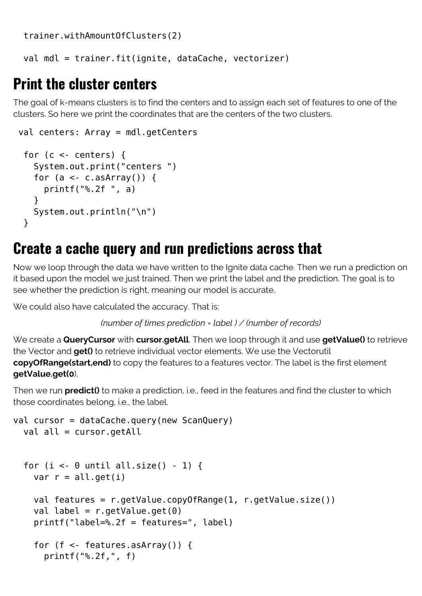trainer.withAmountOfClusters(2)

val mdl = trainer.fit(ignite, dataCache, vectorizer)

#### **Print the cluster centers**

The goal of k-means clusters is to find the centers and to assign each set of features to one of the clusters. So here we print the coordinates that are the centers of the two clusters.

```
 val centers: Array = mdl.getCenters
 for (c < - centers) {
    System.out.print("centers ")
   for (a < c.asArray()) {
      printf("%.2f ", a)
    }
    System.out.println("\n")
  }
```
### **Create a cache query and run predictions across that**

Now we loop through the data we have written to the Ignite data cache. Then we run a prediction on it based upon the model we just trained. Then we print the label and the prediction. The goal is to see whether the prediction is right, meaning our model is accurate.

We could also have calculated the accuracy. That is:

```
(number of times prediction = label ) / (number of records)
```
We create a **QueryCursor** with **cursor.getAll**. Then we loop through it and use **getValue()** to retrieve the Vector and **get()** to retrieve individual vector elements. We use the Vectorutil **copyOfRange(start,end)** to copy the features to a features vector. The label is the first element **getValue.get(0**).

Then we run **predict()** to make a prediction, i.e., feed in the features and find the cluster to which those coordinates belong, i.e., the label.

```
val cursor = dataCache.query(new ScanQuery)
  val all = cursor.getAllfor (i <- \theta until all.size() - 1) {
    var r = all.get(i) val features = r.getValue.copyOfRange(1, r.getValue.size())
    val label = r.getValue.get(0) printf("label=%.2f = features=", label)
    for (f <- features.asArray()) {
       printf("%.2f,", f)
```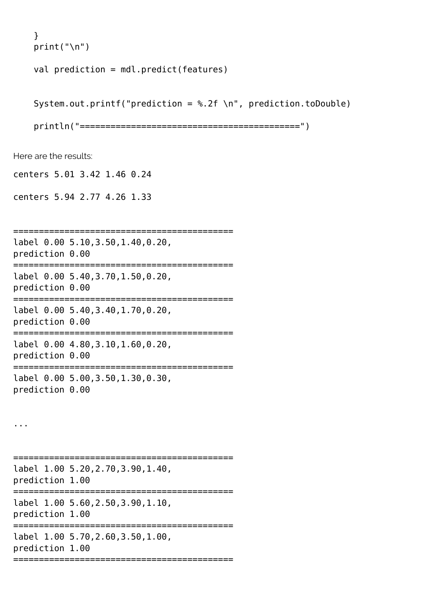```
 }
print("n")
```
val prediction = mdl.predict(features)

System.out.printf("prediction =  $%$ .2f \n", prediction.toDouble)

println("===========================================")

Here are the results:

centers 5.01 3.42 1.46 0.24

centers 5.94 2.77 4.26 1.33

=========================================== label 0.00 5.10,3.50,1.40,0.20, prediction 0.00 =========================================== label 0.00 5.40,3.70,1.50,0.20, prediction 0.00 =========================================== label 0.00 5.40,3.40,1.70,0.20, prediction 0.00 =========================================== label 0.00 4.80,3.10,1.60,0.20, prediction 0.00 =========================================== label 0.00 5.00,3.50,1.30,0.30, prediction 0.00

...

=========================================== label 1.00 5.20,2.70,3.90,1.40, prediction 1.00 =========================================== label 1.00 5.60,2.50,3.90,1.10, prediction 1.00 =========================================== label 1.00 5.70,2.60,3.50,1.00, prediction 1.00 ===========================================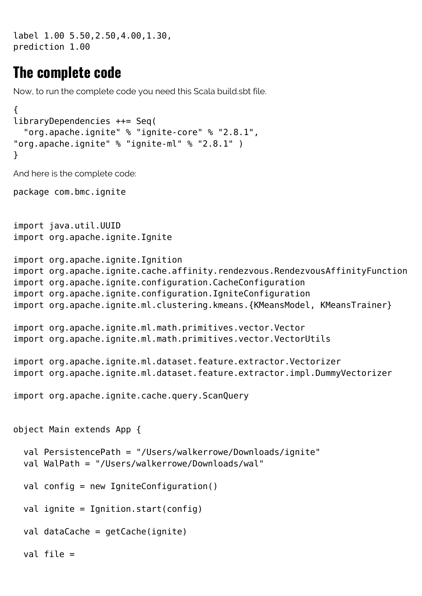label 1.00 5.50,2.50,4.00,1.30, prediction 1.00

#### **The complete code**

Now, to run the complete code you need this Scala build.sbt file.

```
\left\{ \right.libraryDependencies ++= Seq(
   "org.apache.ignite" % "ignite-core" % "2.8.1",
"org.apache.ignite" % "ignite-ml" % "2.8.1" )
}
And here is the complete code:
package com.bmc.ignite
import java.util.UUID
import org.apache.ignite.Ignite
import org.apache.ignite.Ignition
import org.apache.ignite.cache.affinity.rendezvous.RendezvousAffinityFunction
import org.apache.ignite.configuration.CacheConfiguration
import org.apache.ignite.configuration.IgniteConfiguration
import org.apache.ignite.ml.clustering.kmeans.{KMeansModel, KMeansTrainer}
import org.apache.ignite.ml.math.primitives.vector.Vector
import org.apache.ignite.ml.math.primitives.vector.VectorUtils
import org.apache.ignite.ml.dataset.feature.extractor.Vectorizer
import org.apache.ignite.ml.dataset.feature.extractor.impl.DummyVectorizer
import org.apache.ignite.cache.query.ScanQuery
object Main extends App {
   val PersistencePath = "/Users/walkerrowe/Downloads/ignite"
   val WalPath = "/Users/walkerrowe/Downloads/wal"
   val config = new IgniteConfiguration()
  val ignite = Ignition.start(config)
   val dataCache = getCache(ignite)
   val file =
```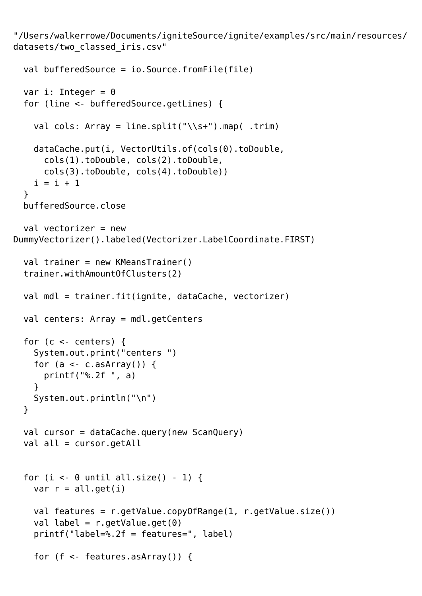"/Users/walkerrowe/Documents/igniteSource/ignite/examples/src/main/resources/ datasets/two\_classed\_iris.csv"

```
 val bufferedSource = io.Source.fromFile(file)
  var i: Integer = \theta for (line <- bufferedSource.getLines) {
    val cols: Array = line.split("\\s+").map( .trim)
     dataCache.put(i, VectorUtils.of(cols(0).toDouble,
       cols(1).toDouble, cols(2).toDouble,
       cols(3).toDouble, cols(4).toDouble))
    i = i + 1 }
   bufferedSource.close
  val vectorizer = newDummyVectorizer().labeled(Vectorizer.LabelCoordinate.FIRST)
   val trainer = new KMeansTrainer()
   trainer.withAmountOfClusters(2)
   val mdl = trainer.fit(ignite, dataCache, vectorizer)
   val centers: Array = mdl.getCenters
  for (c \le centers) {
     System.out.print("centers ")
    for (a \leq c.asArray()) {
       printf("%.2f ", a)
     }
     System.out.println("\n")
   }
  val cursor = dataCache.query(new ScanQuery)
  val all = cursor.getAllfor (i < 0 until all.size() - 1) {
    var r = all.get(i) val features = r.getValue.copyOfRange(1, r.getValue.size())
    val label = r.getValue.get(0) printf("label=%.2f = features=", label)
    for (f \le- features.asArray()) {
```